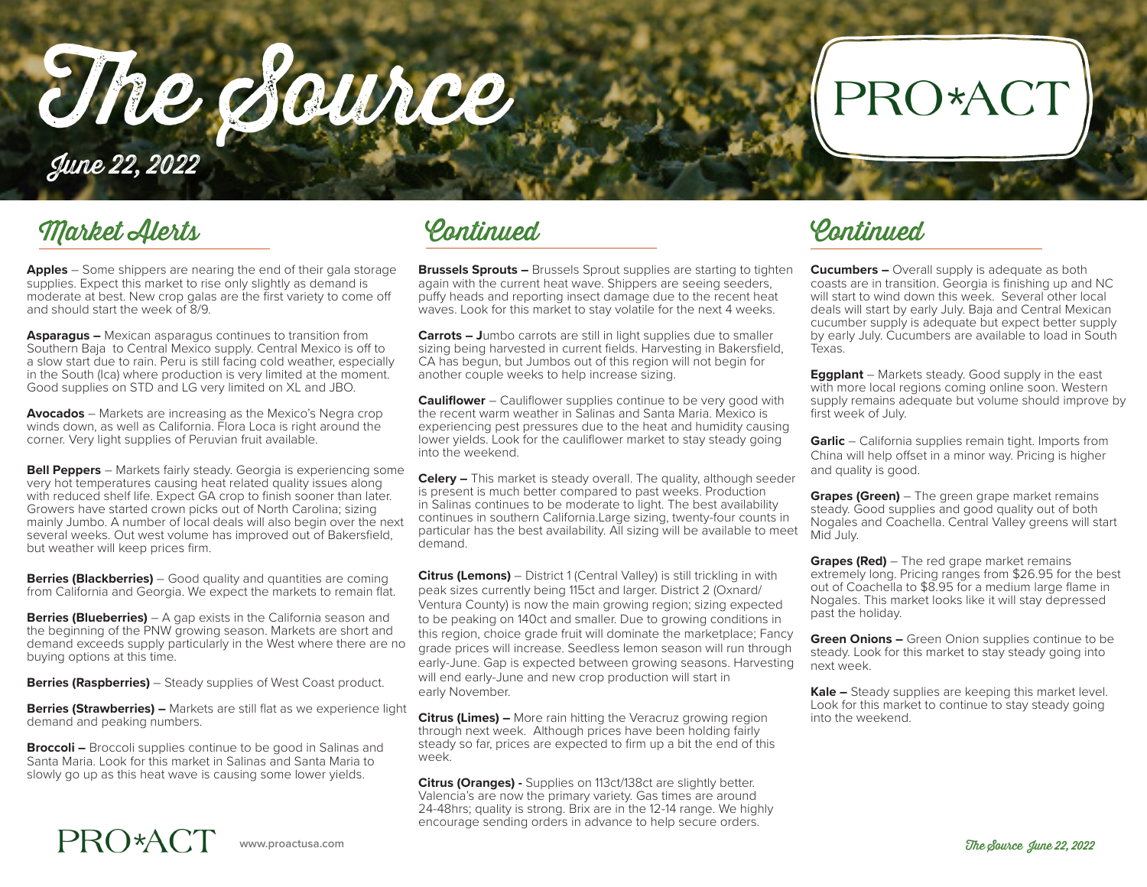The Source

## PRO\*ACT

June 22, 2022

### Market Alerts

**Apples** – Some shippers are nearing the end of their gala storage supplies. Expect this market to rise only slightly as demand is moderate at best. New crop galas are the first variety to come off and should start the week of 8/9.

**Asparagus –** Mexican asparagus continues to transition from Southern Baja to Central Mexico supply. Central Mexico is off to a slow start due to rain. Peru is still facing cold weather, especially in the South (Ica) where production is very limited at the moment. Good supplies on STD and LG very limited on XL and JBO.

**Avocados** – Markets are increasing as the Mexico's Negra crop winds down, as well as California. Flora Loca is right around the corner. Very light supplies of Peruvian fruit available.

**Bell Peppers** – Markets fairly steady. Georgia is experiencing some very hot temperatures causing heat related quality issues along with reduced shelf life. Expect GA crop to finish sooner than later. Growers have started crown picks out of North Carolina; sizing mainly Jumbo. A number of local deals will also begin over the next several weeks. Out west volume has improved out of Bakersfield, but weather will keep prices firm.

**Berries (Blackberries)** – Good quality and quantities are coming from California and Georgia. We expect the markets to remain flat.

**Berries (Blueberries)** – A gap exists in the California season and the beginning of the PNW growing season. Markets are short and demand exceeds supply particularly in the West where there are no buying options at this time.

**Berries (Raspberries)** – Steady supplies of West Coast product.

**Berries (Strawberries) –** Markets are still flat as we experience light demand and peaking numbers.

**Broccoli –** Broccoli supplies continue to be good in Salinas and Santa Maria. Look for this market in Salinas and Santa Maria to slowly go up as this heat wave is causing some lower yields.

Continued Continued

**Brussels Sprouts –** Brussels Sprout supplies are starting to tighten again with the current heat wave. Shippers are seeing seeders, puffy heads and reporting insect damage due to the recent heat waves. Look for this market to stay volatile for the next 4 weeks.

**Carrots – J**umbo carrots are still in light supplies due to smaller sizing being harvested in current fields. Harvesting in Bakersfield, CA has begun, but Jumbos out of this region will not begin for another couple weeks to help increase sizing.

**Cauliflower** – Cauliflower supplies continue to be very good with the recent warm weather in Salinas and Santa Maria. Mexico is experiencing pest pressures due to the heat and humidity causing lower yields. Look for the cauliflower market to stay steady going into the weekend.

**Celery –** This market is steady overall. The quality, although seeder is present is much better compared to past weeks. Production in Salinas continues to be moderate to light. The best availability continues in southern California.Large sizing, twenty-four counts in particular has the best availability. All sizing will be available to meet demand.

**Citrus (Lemons)** – District 1 (Central Valley) is still trickling in with peak sizes currently being 115ct and larger. District 2 (Oxnard/ Ventura County) is now the main growing region; sizing expected to be peaking on 140ct and smaller. Due to growing conditions in this region, choice grade fruit will dominate the marketplace; Fancy grade prices will increase. Seedless lemon season will run through early-June. Gap is expected between growing seasons. Harvesting will end early-June and new crop production will start in early November.

**Citrus (Limes) –** More rain hitting the Veracruz growing region through next week. Although prices have been holding fairly steady so far, prices are expected to firm up a bit the end of this week.

**Citrus (Oranges) -** Supplies on 113ct/138ct are slightly better. Valencia's are now the primary variety. Gas times are around 24-48hrs; quality is strong. Brix are in the 12-14 range. We highly encourage sending orders in advance to help secure orders.

**Cucumbers –** Overall supply is adequate as both coasts are in transition. Georgia is finishing up and NC will start to wind down this week. Several other local deals will start by early July. Baja and Central Mexican cucumber supply is adequate but expect better supply by early July. Cucumbers are available to load in South Texas.

**Eggplant** – Markets steady. Good supply in the east with more local regions coming online soon. Western supply remains adequate but volume should improve by first week of July.

**Garlic** – California supplies remain tight. Imports from China will help offset in a minor way. Pricing is higher and quality is good.

**Grapes (Green)** – The green grape market remains steady. Good supplies and good quality out of both Nogales and Coachella. Central Valley greens will start Mid July.

**Grapes (Red)** – The red grape market remains extremely long. Pricing ranges from \$26.95 for the best out of Coachella to \$8.95 for a medium large flame in Nogales. This market looks like it will stay depressed past the holiday.

**Green Onions –** Green Onion supplies continue to be steady. Look for this market to stay steady going into next week.

**Kale –** Steady supplies are keeping this market level. Look for this market to continue to stay steady going into the weekend.

## PRO\*ACT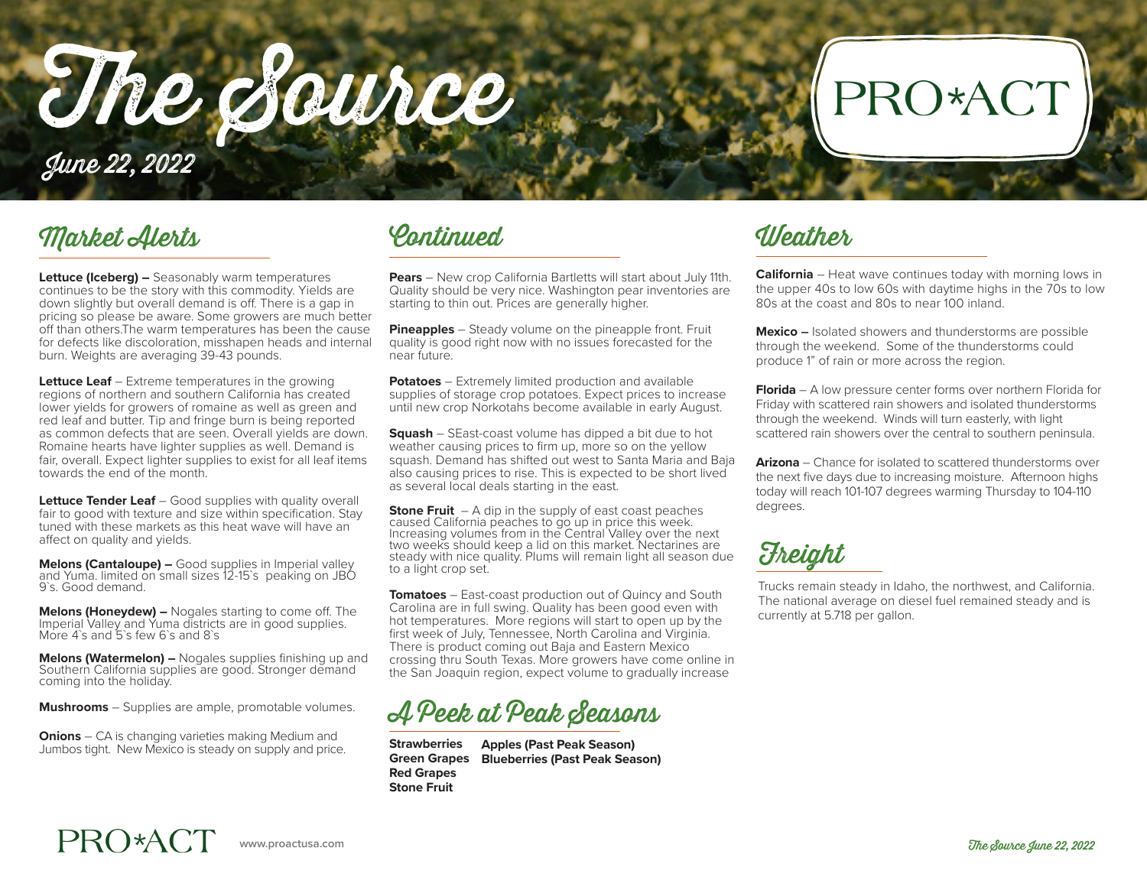The Source

## PRO\*AC<sup>®</sup>

June 22, 2022

### Market Alerts Continued Weather

**Lettuce (Iceberg) –** Seasonably warm temperatures continues to be the story with this commodity. Yields are down slightly but overall demand is off. There is a gap in pricing so please be aware. Some growers are much better off than others.The warm temperatures has been the cause for defects like discoloration, misshapen heads and internal burn. Weights are averaging 39-43 pounds.

**Lettuce Leaf** – Extreme temperatures in the growing regions of northern and southern California has created lower yields for growers of romaine as well as green and red leaf and butter. Tip and fringe burn is being reported as common defects that are seen. Overall yields are down. Romaine hearts have lighter supplies as well. Demand is fair, overall. Expect lighter supplies to exist for all leaf items towards the end of the month.

**Lettuce Tender Leaf** – Good supplies with quality overall fair to good with texture and size within specification. Stay tuned with these markets as this heat wave will have an affect on quality and yields.

**Melons (Cantaloupe) –** Good supplies in Imperial valley and Yuma. limited on small sizes 12-15`s peaking on JBO 9`s. Good demand.

**Melons (Honeydew) –** Nogales starting to come off. The Imperial Valley and Yuma districts are in good supplies. More 4`s and 5`s few 6`s and 8`s

**Melons (Watermelon) –** Nogales supplies finishing up and Southern California supplies are good. Stronger demand coming into the holiday.

**Mushrooms** – Supplies are ample, promotable volumes.

**Onions** – CA is changing varieties making Medium and Jumbos tight. New Mexico is steady on supply and price.

**Pears** – New crop California Bartletts will start about July 11th. Quality should be very nice. Washington pear inventories are starting to thin out. Prices are generally higher.

**Pineapples** – Steady volume on the pineapple front. Fruit quality is good right now with no issues forecasted for the near future.

**Potatoes** – Extremely limited production and available supplies of storage crop potatoes. Expect prices to increase until new crop Norkotahs become available in early August.

**Squash** – SEast-coast volume has dipped a bit due to hot weather causing prices to firm up, more so on the yellow squash. Demand has shifted out west to Santa Maria and Baja also causing prices to rise. This is expected to be short lived as several local deals starting in the east.

**Stone Fruit** – A dip in the supply of east coast peaches caused California peaches to go up in price this week. Increasing volumes from in the Central Valley over the next two weeks should keep a lid on this market. Nectarines are steady with nice quality. Plums will remain light all season due to a light crop set.

**Tomatoes** – East-coast production out of Quincy and South Carolina are in full swing. Quality has been good even with hot temperatures. More regions will start to open up by the first week of July, Tennessee, North Carolina and Virginia. There is product coming out Baja and Eastern Mexico crossing thru South Texas. More growers have come online in the San Joaquin region, expect volume to gradually increase

A Peek at Peak Seasons

**Strawberries Green Grapes Red Grapes Stone Fruit Apples (Past Peak Season) Blueberries (Past Peak Season)**

**California** – Heat wave continues today with morning lows in the upper 40s to low 60s with daytime highs in the 70s to low 80s at the coast and 80s to near 100 inland.

**Mexico –** Isolated showers and thunderstorms are possible through the weekend. Some of the thunderstorms could produce 1" of rain or more across the region.

**Florida** – A low pressure center forms over northern Florida for Friday with scattered rain showers and isolated thunderstorms through the weekend. Winds will turn easterly, with light scattered rain showers over the central to southern peninsula.

**Arizona** – Chance for isolated to scattered thunderstorms over the next five days due to increasing moisture. Afternoon highs today will reach 101-107 degrees warming Thursday to 104-110 degrees.

**Freight** 

Trucks remain steady in Idaho, the northwest, and California. The national average on diesel fuel remained steady and is currently at 5.718 per gallon.